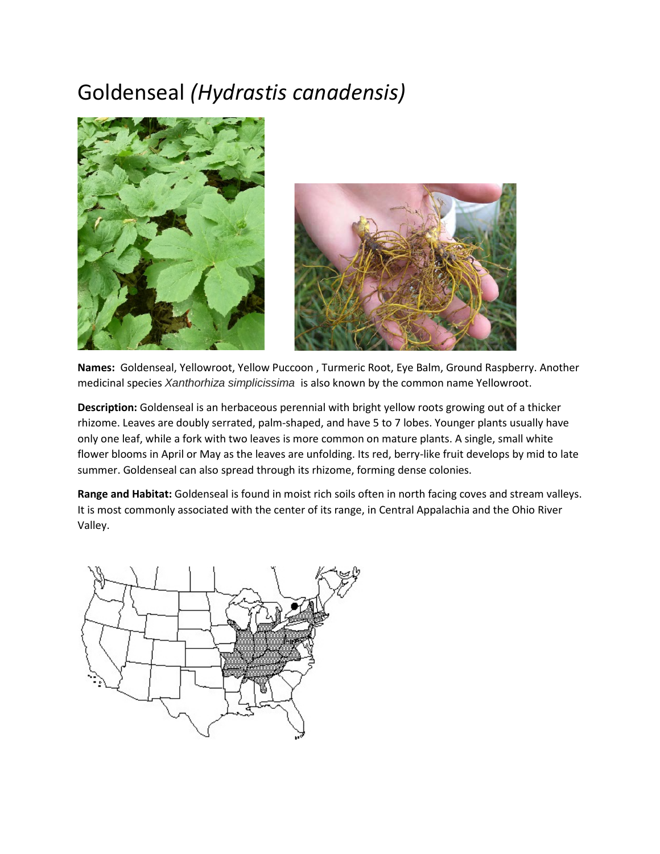## Goldenseal *(Hydrastis canadensis)*





**Names:** Goldenseal, Yellowroot, Yellow Puccoon , Turmeric Root, Eye Balm, Ground Raspberry. Another medicinal species *Xanthorhiza simplicissima* is also known by the common name Yellowroot.

**Description:** Goldenseal is an herbaceous perennial with bright yellow roots growing out of a thicker rhizome. Leaves are doubly serrated, palm-shaped, and have 5 to 7 lobes. Younger plants usually have only one leaf, while a fork with two leaves is more common on mature plants. A single, small white flower blooms in April or May as the leaves are unfolding. Its red, berry-like fruit develops by mid to late summer. Goldenseal can also spread through its rhizome, forming dense colonies.

**Range and Habitat:** Goldenseal is found in moist rich soils often in north facing coves and stream valleys. It is most commonly associated with the center of its range, in Central Appalachia and the Ohio River Valley.

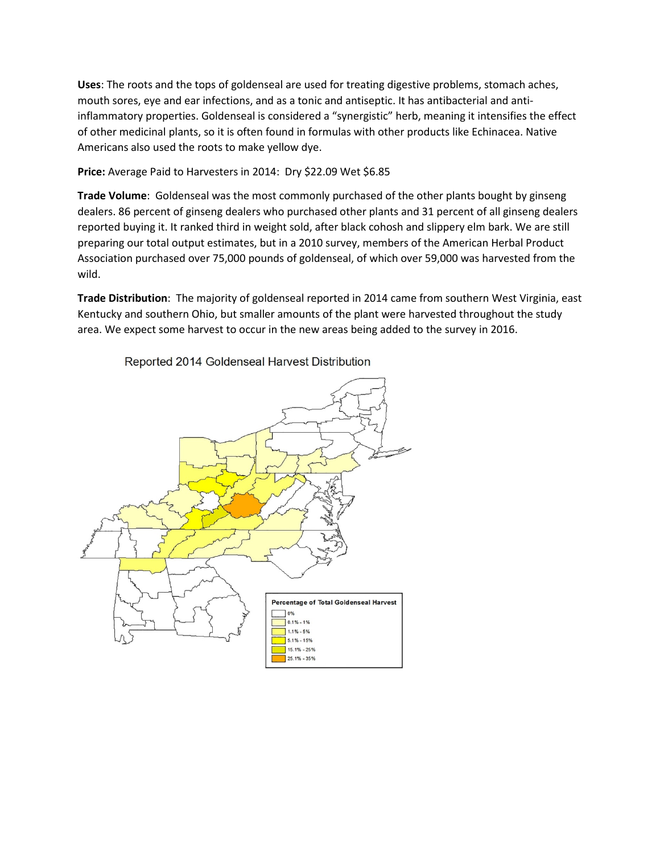**Uses**: The roots and the tops of goldenseal are used for treating digestive problems, stomach aches, mouth sores, eye and ear infections, and as a tonic and antiseptic. It has antibacterial and antiinflammatory properties. Goldenseal is considered a "synergistic" herb, meaning it intensifies the effect of other medicinal plants, so it is often found in formulas with other products like Echinacea. Native Americans also used the roots to make yellow dye.

Price: Average Paid to Harvesters in 2014: Dry \$22.09 Wet \$6.85

**Trade Volume**: Goldenseal was the most commonly purchased of the other plants bought by ginseng dealers. 86 percent of ginseng dealers who purchased other plants and 31 percent of all ginseng dealers reported buying it. It ranked third in weight sold, after black cohosh and slippery elm bark. We are still preparing our total output estimates, but in a 2010 survey, members of the American Herbal Product Association purchased over 75,000 pounds of goldenseal, of which over 59,000 was harvested from the wild.

**Trade Distribution**: The majority of goldenseal reported in 2014 came from southern West Virginia, east Kentucky and southern Ohio, but smaller amounts of the plant were harvested throughout the study area. We expect some harvest to occur in the new areas being added to the survey in 2016.



Reported 2014 Goldenseal Harvest Distribution